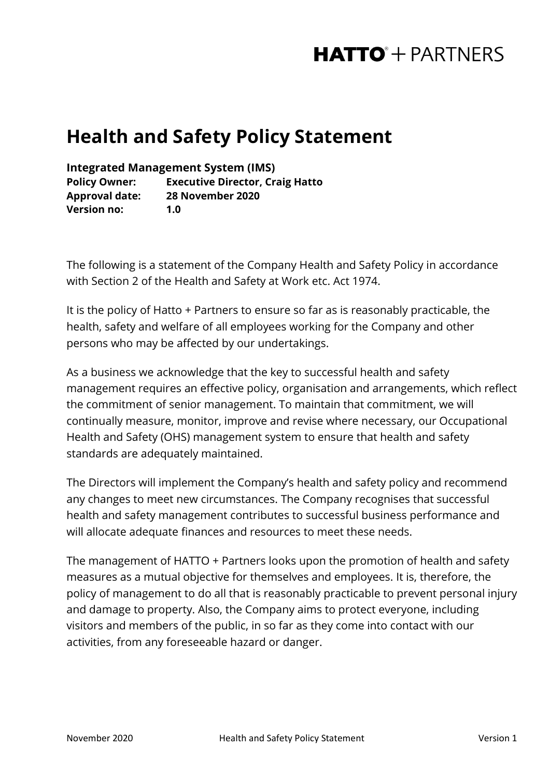## **HATTO**<sup>+</sup> PARTNERS

## **Health and Safety Policy Statement**

**Integrated Management System (IMS)**

**Policy Owner: Executive Director, Craig Hatto Approval date: 28 November 2020 Version no: 1.0**

The following is a statement of the Company Health and Safety Policy in accordance with Section 2 of the Health and Safety at Work etc. Act 1974.

It is the policy of Hatto + Partners to ensure so far as is reasonably practicable, the health, safety and welfare of all employees working for the Company and other persons who may be affected by our undertakings.

As a business we acknowledge that the key to successful health and safety management requires an effective policy, organisation and arrangements, which reflect the commitment of senior management. To maintain that commitment, we will continually measure, monitor, improve and revise where necessary, our Occupational Health and Safety (OHS) management system to ensure that health and safety standards are adequately maintained.

The Directors will implement the Company's health and safety policy and recommend any changes to meet new circumstances. The Company recognises that successful health and safety management contributes to successful business performance and will allocate adequate finances and resources to meet these needs.

The management of HATTO + Partners looks upon the promotion of health and safety measures as a mutual objective for themselves and employees. It is, therefore, the policy of management to do all that is reasonably practicable to prevent personal injury and damage to property. Also, the Company aims to protect everyone, including visitors and members of the public, in so far as they come into contact with our activities, from any foreseeable hazard or danger.